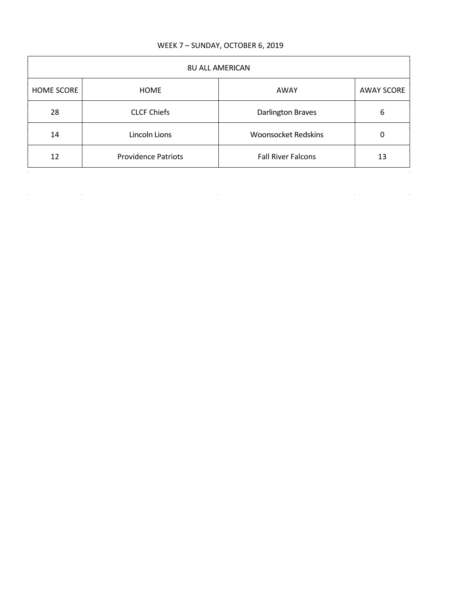## WEEK 7 – SUNDAY, OCTOBER 6, 2019

| <b>8U ALL AMERICAN</b> |                            |                            |                   |
|------------------------|----------------------------|----------------------------|-------------------|
| <b>HOME SCORE</b>      | <b>HOME</b>                | AWAY                       | <b>AWAY SCORE</b> |
| 28                     | <b>CLCF Chiefs</b>         | <b>Darlington Braves</b>   | 6                 |
| 14                     | Lincoln Lions              | <b>Woonsocket Redskins</b> | 0                 |
| 12                     | <b>Providence Patriots</b> | <b>Fall River Falcons</b>  | 13                |

 $\label{eq:2.1} \mathcal{L}(\mathcal{L}^{\text{max}}_{\mathcal{L}}(\mathcal{L}^{\text{max}}_{\mathcal{L}})) \leq \mathcal{L}(\mathcal{L}^{\text{max}}_{\mathcal{L}}(\mathcal{L}^{\text{max}}_{\mathcal{L}}))$ 

 $\mathcal{L}^{\mathcal{L}}(\mathcal{L}^{\mathcal{L}})$  and  $\mathcal{L}^{\mathcal{L}}(\mathcal{L}^{\mathcal{L}})$  and  $\mathcal{L}^{\mathcal{L}}(\mathcal{L}^{\mathcal{L}})$ 

 $\label{eq:2.1} \frac{1}{2} \int_{\mathbb{R}^3} \left| \frac{1}{\lambda} \left( \frac{1}{\lambda} \right) \right| \, \mathrm{d} \lambda \, \mathrm{d} \lambda \, \mathrm{d} \lambda \, \mathrm{d} \lambda \, \mathrm{d} \lambda \, \mathrm{d} \lambda \, \mathrm{d} \lambda \, \mathrm{d} \lambda \, \mathrm{d} \lambda \, \mathrm{d} \lambda \, \mathrm{d} \lambda \, \mathrm{d} \lambda \, \mathrm{d} \lambda \, \mathrm{d} \lambda \, \mathrm{d} \lambda \, \mathrm{d} \lambda \, \mathrm{d} \lambda \, \mathrm{d} \lambda \,$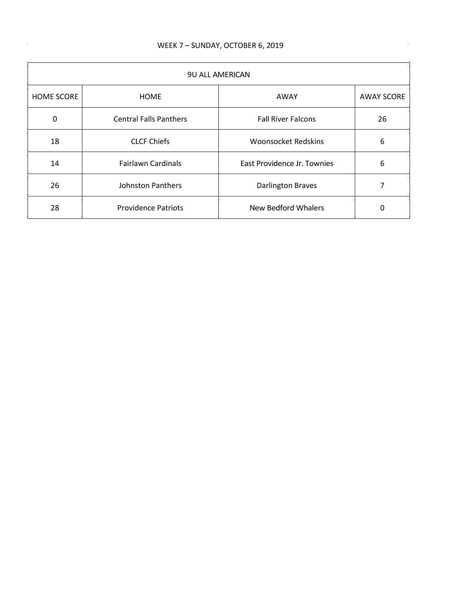$\sim$ 

 $\mathcal{A}(\mathcal{A})$  and  $\mathcal{A}(\mathcal{A})$  and  $\mathcal{A}(\mathcal{A})$ 

| <b>9U ALL AMERICAN</b> |                               |                             |                   |
|------------------------|-------------------------------|-----------------------------|-------------------|
| <b>HOME SCORE</b>      | <b>HOME</b>                   | AWAY                        | <b>AWAY SCORE</b> |
| 0                      | <b>Central Falls Panthers</b> | <b>Fall River Falcons</b>   | 26                |
| 18                     | <b>CLCF Chiefs</b>            | <b>Woonsocket Redskins</b>  | 6                 |
| 14                     | <b>Fairlawn Cardinals</b>     | East Providence Jr. Townies | 6                 |
| 26                     | <b>Johnston Panthers</b>      | <b>Darlington Braves</b>    |                   |
| 28                     | <b>Providence Patriots</b>    | New Bedford Whalers         | 0                 |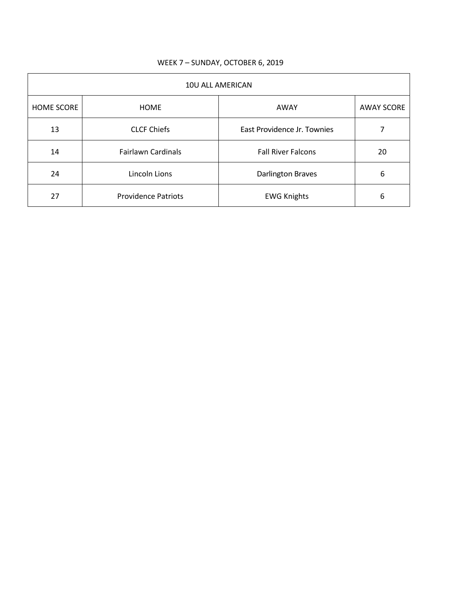| 10U ALL AMERICAN  |                            |                             |                   |
|-------------------|----------------------------|-----------------------------|-------------------|
| <b>HOME SCORE</b> | <b>HOME</b>                | AWAY                        | <b>AWAY SCORE</b> |
| 13                | <b>CLCF Chiefs</b>         | East Providence Jr. Townies |                   |
| 14                | <b>Fairlawn Cardinals</b>  | <b>Fall River Falcons</b>   | 20                |
| 24                | Lincoln Lions              | <b>Darlington Braves</b>    | 6                 |
| 27                | <b>Providence Patriots</b> | <b>EWG Knights</b>          | 6                 |

## WEEK 7 – SUNDAY, OCTOBER 6, 2019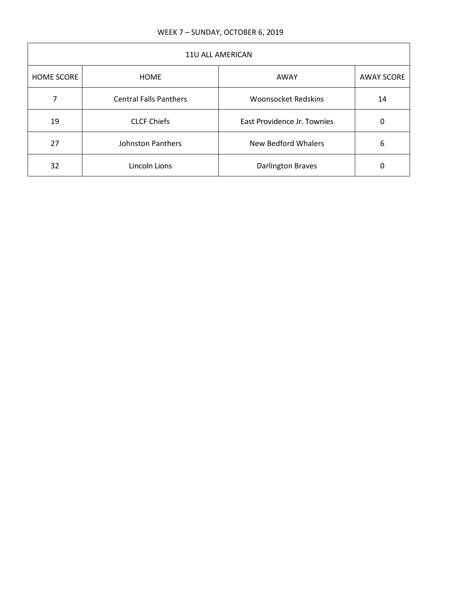| <b>11U ALL AMERICAN</b> |                               |                             |                   |
|-------------------------|-------------------------------|-----------------------------|-------------------|
| <b>HOME SCORE</b>       | <b>HOME</b>                   | AWAY                        | <b>AWAY SCORE</b> |
|                         | <b>Central Falls Panthers</b> | <b>Woonsocket Redskins</b>  | 14                |
| 19                      | <b>CLCF Chiefs</b>            | East Providence Jr. Townies | Ω                 |
| 27                      | <b>Johnston Panthers</b>      | New Bedford Whalers         | 6                 |
| 32                      | Lincoln Lions                 | <b>Darlington Braves</b>    |                   |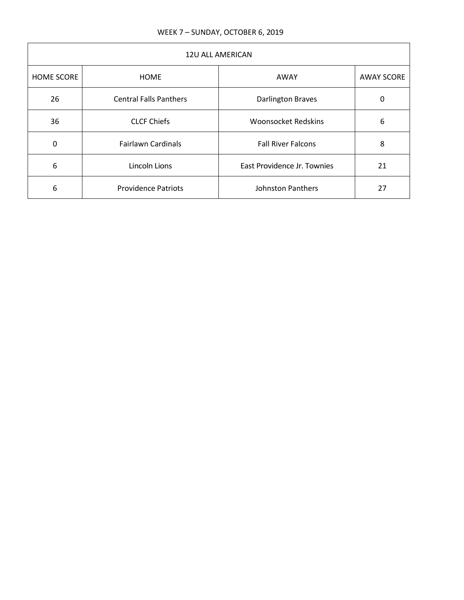| 12U ALL AMERICAN  |                               |                             |                   |
|-------------------|-------------------------------|-----------------------------|-------------------|
| <b>HOME SCORE</b> | <b>HOME</b>                   | AWAY                        | <b>AWAY SCORE</b> |
| 26                | <b>Central Falls Panthers</b> | <b>Darlington Braves</b>    | 0                 |
| 36                | <b>CLCF Chiefs</b>            | <b>Woonsocket Redskins</b>  | 6                 |
| 0                 | <b>Fairlawn Cardinals</b>     | <b>Fall River Falcons</b>   | 8                 |
| 6                 | Lincoln Lions                 | East Providence Jr. Townies | 21                |
| 6                 | <b>Providence Patriots</b>    | Johnston Panthers           | 27                |